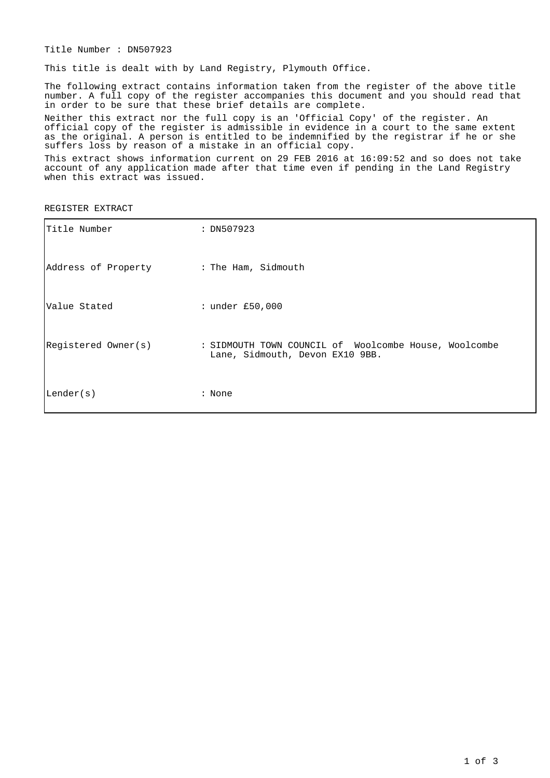Title Number : DN507923

This title is dealt with by Land Registry, Plymouth Office.

The following extract contains information taken from the register of the above title number. A full copy of the register accompanies this document and you should read that in order to be sure that these brief details are complete.

Neither this extract nor the full copy is an 'Official Copy' of the register. An official copy of the register is admissible in evidence in a court to the same extent as the original. A person is entitled to be indemnified by the registrar if he or she suffers loss by reason of a mistake in an official copy.

This extract shows information current on 29 FEB 2016 at 16:09:52 and so does not take account of any application made after that time even if pending in the Land Registry when this extract was issued.

REGISTER EXTRACT

| Title Number        | : DN507923                                                                               |
|---------------------|------------------------------------------------------------------------------------------|
| Address of Property | : The Ham, Sidmouth                                                                      |
| lValue Stated       | : under £50,000                                                                          |
| Registered Owner(s) | : SIDMOUTH TOWN COUNCIL of Woolcombe House, Woolcombe<br>Lane, Sidmouth, Devon EX10 9BB. |
| Lender(s)           | : None                                                                                   |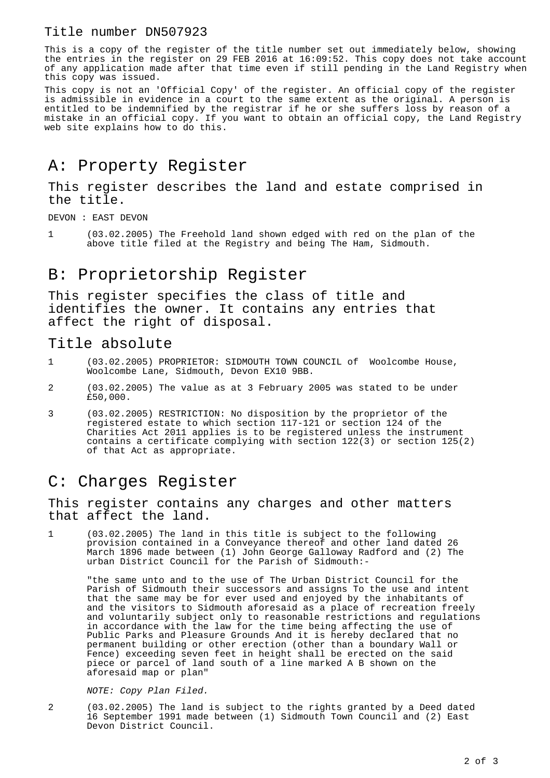#### Title number DN507923

This is a copy of the register of the title number set out immediately below, showing the entries in the register on 29 FEB 2016 at 16:09:52. This copy does not take account of any application made after that time even if still pending in the Land Registry when this copy was issued.

This copy is not an 'Official Copy' of the register. An official copy of the register is admissible in evidence in a court to the same extent as the original. A person is entitled to be indemnified by the registrar if he or she suffers loss by reason of a mistake in an official copy. If you want to obtain an official copy, the Land Registry web site explains how to do this.

# A: Property Register

This register describes the land and estate comprised in the title.

DEVON : EAST DEVON

1 (03.02.2005) The Freehold land shown edged with red on the plan of the above title filed at the Registry and being The Ham, Sidmouth.

## B: Proprietorship Register

This register specifies the class of title and identifies the owner. It contains any entries that affect the right of disposal.

#### Title absolute

- 1 (03.02.2005) PROPRIETOR: SIDMOUTH TOWN COUNCIL of Woolcombe House, Woolcombe Lane, Sidmouth, Devon EX10 9BB.
- 2 (03.02.2005) The value as at 3 February 2005 was stated to be under £50,000.
- 3 (03.02.2005) RESTRICTION: No disposition by the proprietor of the registered estate to which section 117-121 or section 124 of the Charities Act 2011 applies is to be registered unless the instrument contains a certificate complying with section 122(3) or section 125(2) of that Act as appropriate.

### C: Charges Register

This register contains any charges and other matters that affect the land.

1 (03.02.2005) The land in this title is subject to the following provision contained in a Conveyance thereof and other land dated 26 March 1896 made between (1) John George Galloway Radford and (2) The urban District Council for the Parish of Sidmouth:-

"the same unto and to the use of The Urban District Council for the Parish of Sidmouth their successors and assigns To the use and intent that the same may be for ever used and enjoyed by the inhabitants of and the visitors to Sidmouth aforesaid as a place of recreation freely and voluntarily subject only to reasonable restrictions and regulations in accordance with the law for the time being affecting the use of Public Parks and Pleasure Grounds And it is hereby declared that no permanent building or other erection (other than a boundary Wall or Fence) exceeding seven feet in height shall be erected on the said piece or parcel of land south of a line marked A B shown on the aforesaid map or plan"

NOTE: Copy Plan Filed.

2 (03.02.2005) The land is subject to the rights granted by a Deed dated 16 September 1991 made between (1) Sidmouth Town Council and (2) East Devon District Council.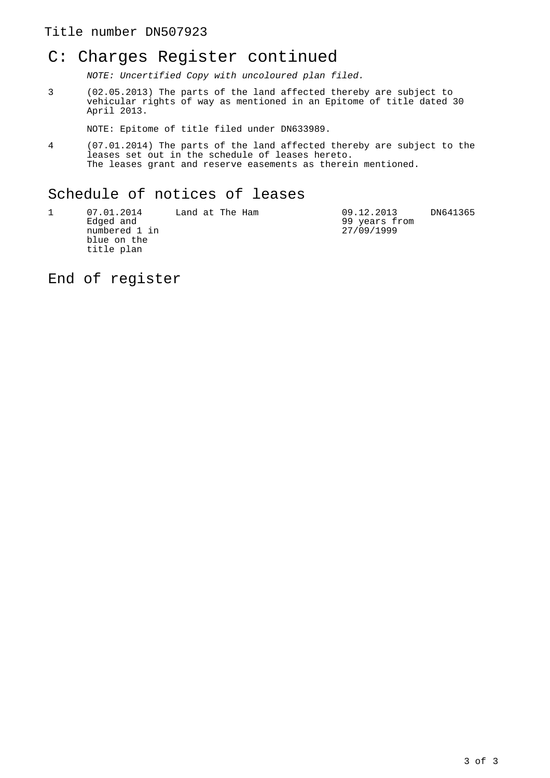#### Title number DN507923

### C: Charges Register continued

NOTE: Uncertified Copy with uncoloured plan filed.

3 (02.05.2013) The parts of the land affected thereby are subject to vehicular rights of way as mentioned in an Epitome of title dated 30 April 2013.

NOTE: Epitome of title filed under DN633989.

4 (07.01.2014) The parts of the land affected thereby are subject to the leases set out in the schedule of leases hereto. The leases grant and reserve easements as therein mentioned.

### Schedule of notices of leases

| 07.01.2014<br>Edged and<br>numbered 1 in<br>blue on the | Land at The Ham | 09.12.2013<br>99 years from<br>27/09/1999 | DN641365 |
|---------------------------------------------------------|-----------------|-------------------------------------------|----------|
| title plan                                              |                 |                                           |          |

End of register